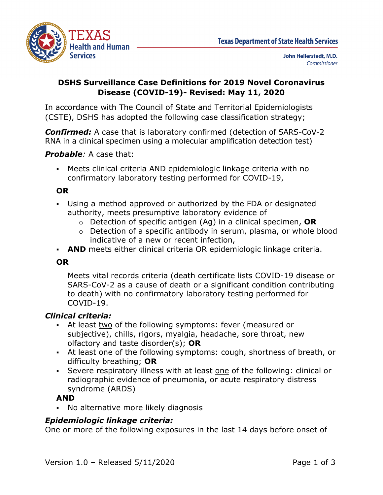

## **DSHS Surveillance Case Definitions for 2019 Novel Coronavirus Disease (COVID-19)- Revised: May 11, 2020**

In accordance with The Council of State and Territorial Epidemiologists (CSTE), DSHS has adopted the following case classification strategy;

*Confirmed:* A case that is laboratory confirmed (detection of SARS-CoV-2 RNA in a clinical specimen using a molecular amplification detection test)

### *Probable:* A case that:

 Meets clinical criteria AND epidemiologic linkage criteria with no confirmatory laboratory testing performed for COVID-19,

### **OR**

- Using a method approved or authorized by the FDA or designated authority, meets presumptive laboratory evidence of
	- o Detection of specific antigen (Ag) in a clinical specimen, **OR**
	- o Detection of a specific antibody in serum, plasma, or whole blood indicative of a new or recent infection,
- **AND** meets either clinical criteria OR epidemiologic linkage criteria.

### **OR**

Meets vital records criteria (death certificate lists COVID-19 disease or SARS-CoV-2 as a cause of death or a significant condition contributing to death) with no confirmatory laboratory testing performed for COVID-19.

### *Clinical criteria:*

- At least two of the following symptoms: fever (measured or subjective), chills, rigors, myalgia, headache, sore throat, new olfactory and taste disorder(s); **OR**
- At least one of the following symptoms: cough, shortness of breath, or difficulty breathing; **OR**
- Severe respiratory illness with at least one of the following: clinical or radiographic evidence of pneumonia, or acute respiratory distress syndrome (ARDS)

### **AND**

No alternative more likely diagnosis

### *Epidemiologic linkage criteria:*

One or more of the following exposures in the last 14 days before onset of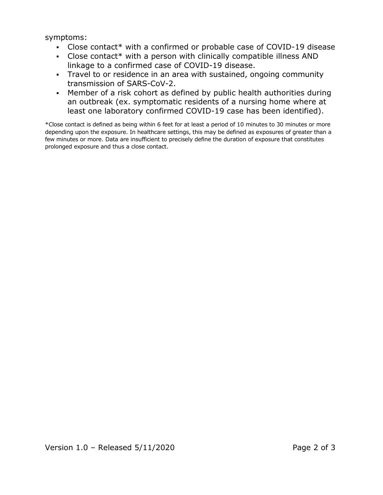symptoms:

- Close contact\* with a confirmed or probable case of COVID-19 disease
- Close contact\* with a person with clinically compatible illness AND linkage to a confirmed case of COVID-19 disease.
- Travel to or residence in an area with sustained, ongoing community transmission of SARS-CoV-2.
- Member of a risk cohort as defined by public health authorities during an outbreak (ex. symptomatic residents of a nursing home where at least one laboratory confirmed COVID-19 case has been identified).

\*Close contact is defined as being within 6 feet for at least a period of 10 minutes to 30 minutes or more depending upon the exposure. In healthcare settings, this may be defined as exposures of greater than a few minutes or more. Data are insufficient to precisely define the duration of exposure that constitutes prolonged exposure and thus a close contact.